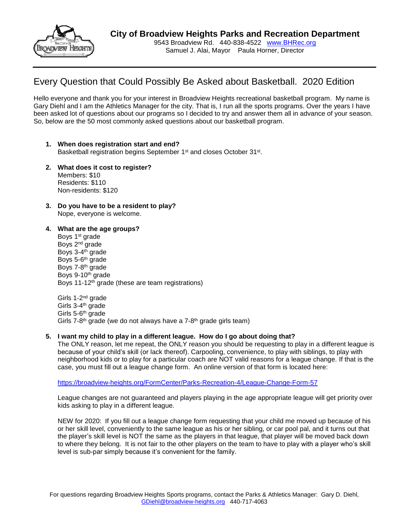

Samuel J. Alai, Mayor Paula Horner, Director

# Every Question that Could Possibly Be Asked about Basketball. 2020 Edition

Hello everyone and thank you for your interest in Broadview Heights recreational basketball program. My name is Gary Diehl and I am the Athletics Manager for the city. That is, I run all the sports programs. Over the years I have been asked lot of questions about our programs so I decided to try and answer them all in advance of your season. So, below are the 50 most commonly asked questions about our basketball program.

- **1. When does registration start and end?** Basketball registration begins September 1<sup>st</sup> and closes October 31<sup>st</sup>.
- **2. What does it cost to register?** Members: \$10 Residents: \$110 Non-residents: \$120
- **3. Do you have to be a resident to play?** Nope, everyone is welcome.
- **4. What are the age groups?** Boys 1<sup>st</sup> grade Boys 2nd grade Boys 3-4<sup>th</sup> grade Boys 5-6<sup>th</sup> grade Boys 7-8<sup>th</sup> grade Boys 9-10<sup>th</sup> grade Boys 11-12th grade (these are team registrations)

Girls 1-2<sup>nd</sup> grade Girls 3-4<sup>th</sup> grade Girls 5-6<sup>th</sup> grade Girls 7-8<sup>th</sup> grade (we do not always have a 7-8<sup>th</sup> grade girls team)

### **5. I want my child to play in a different league. How do I go about doing that?**

The ONLY reason, let me repeat, the ONLY reason you should be requesting to play in a different league is because of your child's skill (or lack thereof). Carpooling, convenience, to play with siblings, to play with neighborhood kids or to play for a particular coach are NOT valid reasons for a league change. If that is the case, you must fill out a league change form. An online version of that form is located here:

<https://broadview-heights.org/FormCenter/Parks-Recreation-4/League-Change-Form-57>

League changes are not guaranteed and players playing in the age appropriate league will get priority over kids asking to play in a different league.

NEW for 2020: If you fill out a league change form requesting that your child me moved up because of his or her skill level, conveniently to the same league as his or her sibling, or car pool pal, and it turns out that the player's skill level is NOT the same as the players in that league, that player will be moved back down to where they belong. It is not fair to the other players on the team to have to play with a player who's skill level is sub-par simply because it's convenient for the family.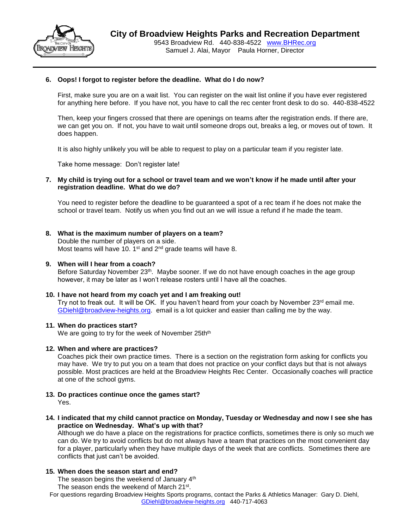

## **6. Oops! I forgot to register before the deadline. What do I do now?**

First, make sure you are on a wait list. You can register on the wait list online if you have ever registered for anything here before. If you have not, you have to call the rec center front desk to do so. 440-838-4522

Then, keep your fingers crossed that there are openings on teams after the registration ends. If there are, we can get you on. If not, you have to wait until someone drops out, breaks a leg, or moves out of town. It does happen.

It is also highly unlikely you will be able to request to play on a particular team if you register late.

Take home message: Don't register late!

## **7. My child is trying out for a school or travel team and we won't know if he made until after your registration deadline. What do we do?**

You need to register before the deadline to be guaranteed a spot of a rec team if he does not make the school or travel team. Notify us when you find out an we will issue a refund if he made the team.

### **8. What is the maximum number of players on a team?**

Double the number of players on a side. Most teams will have 10. 1<sup>st</sup> and 2<sup>nd</sup> grade teams will have 8.

# **9. When will I hear from a coach?**

Before Saturday November 23<sup>th</sup>. Maybe sooner. If we do not have enough coaches in the age group however, it may be later as I won't release rosters until I have all the coaches.

#### **10. I have not heard from my coach yet and I am freaking out!**

Try not to freak out. It will be OK. If you haven't heard from your coach by November 23<sup>rd</sup> email me. [GDiehl@broadview-heights.org.](mailto:GDiehl@broadview-heights.org) email is a lot quicker and easier than calling me by the way.

#### **11. When do practices start?**

We are going to try for the week of November 25th<sup>th</sup>

#### **12. When and where are practices?**

Coaches pick their own practice times. There is a section on the registration form asking for conflicts you may have. We try to put you on a team that does not practice on your conflict days but that is not always possible. Most practices are held at the Broadview Heights Rec Center. Occasionally coaches will practice at one of the school gyms.

#### **13. Do practices continue once the games start?** Yes.

- 
- **14. I indicated that my child cannot practice on Monday, Tuesday or Wednesday and now I see she has practice on Wednesday. What's up with that?**

Although we do have a place on the registrations for practice conflicts, sometimes there is only so much we can do. We try to avoid conflicts but do not always have a team that practices on the most convenient day for a player, particularly when they have multiple days of the week that are conflicts. Sometimes there are conflicts that just can't be avoided.

### **15. When does the season start and end?**

The season begins the weekend of January 4<sup>th</sup>

The season ends the weekend of March 21st.

For questions regarding Broadview Heights Sports programs, contact the Parks & Athletics Manager: Gary D. Diehl, [GDiehl@broadview-heights.org](mailto:GDiehl@broadview-heights.org) 440-717-4063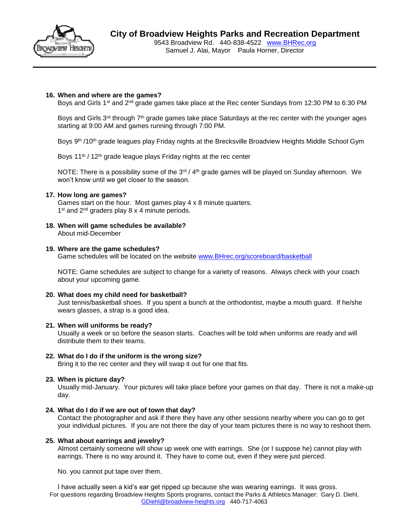

9543 Broadview Rd. 440-838-4522 [www.BHRec.org](http://www.bhrec.org/) Samuel J. Alai, Mayor Paula Horner, Director

### **16. When and where are the games?**

Boys and Girls 1<sup>st</sup> and 2<sup>nd</sup> grade games take place at the Rec center Sundays from 12:30 PM to 6:30 PM

Boys and Girls 3<sup>rd</sup> through 7<sup>th</sup> grade games take place Saturdays at the rec center with the younger ages starting at 9:00 AM and games running through 7:00 PM.

Boys 9th /10th grade leagues play Friday nights at the Brecksville Broadview Heights Middle School Gym

Boys 11<sup>th</sup> / 12<sup>th</sup> grade league plays Friday nights at the rec center

NOTE: There is a possibility some of the  $3<sup>rd</sup>$  / 4<sup>th</sup> grade games will be played on Sunday afternoon. We won't know until we get closer to the season.

### **17. How long are games?**

Games start on the hour. Most games play 4 x 8 minute quarters. 1<sup>st</sup> and 2<sup>nd</sup> graders play 8 x 4 minute periods.

**18. When will game schedules be available?** About mid-December

### **19. Where are the game schedules?**

Game schedules will be located on the website [www.BHrec.org/scoreboard/basketball](http://www.bhrec.org/scoreboard/basketball)

NOTE: Game schedules are subject to change for a variety of reasons. Always check with your coach about your upcoming game.

### **20. What does my child need for basketball?**

Just tennis/basketball shoes. If you spent a bunch at the orthodontist, maybe a mouth guard. If he/she wears glasses, a strap is a good idea.

### **21. When will uniforms be ready?**

Usually a week or so before the season starts. Coaches will be told when uniforms are ready and will distribute them to their teams.

### **22. What do I do if the uniform is the wrong size?**

Bring it to the rec center and they will swap it out for one that fits.

### **23. When is picture day?**

Usually mid-January. Your pictures will take place before your games on that day. There is not a make-up day.

### **24. What do I do if we are out of town that day?**

Contact the photographer and ask if there they have any other sessions nearby where you can go to get your individual pictures. If you are not there the day of your team pictures there is no way to reshoot them.

# **25. What about earrings and jewelry?**

Almost certainly someone will show up week one with earrings. She (or I suppose he) cannot play with earrings. There is no way around it. They have to come out, even if they were just pierced.

No. you cannot put tape over them.

For questions regarding Broadview Heights Sports programs, contact the Parks & Athletics Manager: Gary D. Diehl, [GDiehl@broadview-heights.org](mailto:GDiehl@broadview-heights.org) 440-717-4063 I have actually seen a kid's ear get ripped up because she was wearing earrings. It was gross.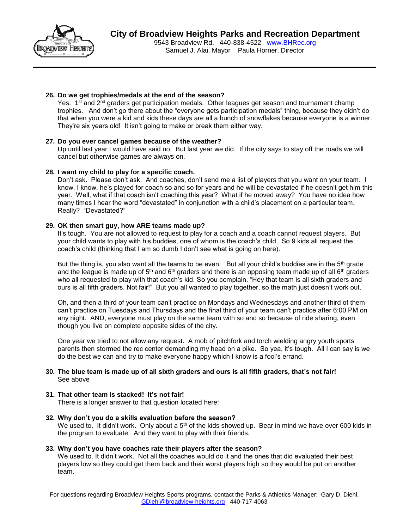

9543 Broadview Rd. 440-838-4522 [www.BHRec.org](http://www.bhrec.org/) Samuel J. Alai, Mayor Paula Horner, Director

# **26. Do we get trophies/medals at the end of the season?**

Yes. 1<sup>st</sup> and 2<sup>nd</sup> graders get participation medals. Other leagues get season and tournament champ trophies. And don't go there about the "everyone gets participation medals" thing, because they didn't do that when you were a kid and kids these days are all a bunch of snowflakes because everyone is a winner. They're six years old! It isn't going to make or break them either way.

# **27. Do you ever cancel games because of the weather?**

Up until last year I would have said no. But last year we did. If the city says to stay off the roads we will cancel but otherwise games are always on.

# **28. I want my child to play for a specific coach.**

Don't ask. Please don't ask. And coaches, don't send me a list of players that you want on your team. I know, I know, he's played for coach so and so for years and he will be devastated if he doesn't get him this year. Well, what if that coach isn't coaching this year? What if he moved away? You have no idea how many times I hear the word "devastated" in conjunction with a child's placement on a particular team. Really? "Devastated?"

# **29. OK then smart guy, how ARE teams made up?**

It's tough. You are not allowed to request to play for a coach and a coach cannot request players. But your child wants to play with his buddies, one of whom is the coach's child. So 9 kids all request the coach's child (thinking that I am so dumb I don't see what is going on here).

But the thing is, you also want all the teams to be even. But all your child's buddies are in the  $5<sup>th</sup>$  grade and the league is made up of  $5<sup>th</sup>$  and  $6<sup>th</sup>$  graders and there is an opposing team made up of all  $6<sup>th</sup>$  graders who all requested to play with that coach's kid. So you complain, "Hey that team is all sixth graders and ours is all fifth graders. Not fair!" But you all wanted to play together, so the math just doesn't work out.

Oh, and then a third of your team can't practice on Mondays and Wednesdays and another third of them can't practice on Tuesdays and Thursdays and the final third of your team can't practice after 6:00 PM on any night. AND, everyone must play on the same team with so and so because of ride sharing, even though you live on complete opposite sides of the city.

One year we tried to not allow any request. A mob of pitchfork and torch wielding angry youth sports parents then stormed the rec center demanding my head on a pike. So yea, it's tough. All I can say is we do the best we can and try to make everyone happy which I know is a fool's errand.

# **30. The blue team is made up of all sixth graders and ours is all fifth graders, that's not fair!** See above

### **31. That other team is stacked! It's not fair!**

There is a longer answer to that question located here:

### **32. Why don't you do a skills evaluation before the season?**

We used to. It didn't work. Only about a 5<sup>th</sup> of the kids showed up. Bear in mind we have over 600 kids in the program to evaluate. And they want to play with their friends.

# **33. Why don't you have coaches rate their players after the season?**

We used to. It didn't work. Not all the coaches would do it and the ones that did evaluated their best players low so they could get them back and their worst players high so they would be put on another team.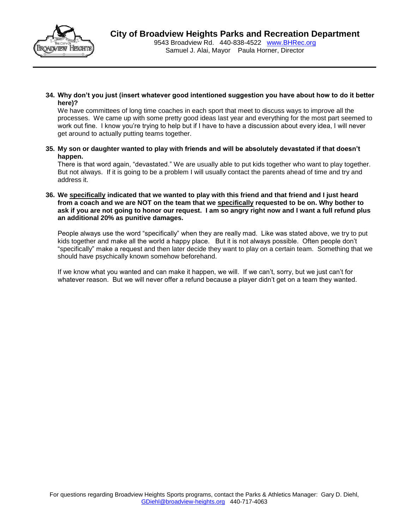

Samuel J. Alai, Mayor Paula Horner, Director

**34. Why don't you just (insert whatever good intentioned suggestion you have about how to do it better here)?**

We have committees of long time coaches in each sport that meet to discuss ways to improve all the processes. We came up with some pretty good ideas last year and everything for the most part seemed to work out fine. I know you're trying to help but if I have to have a discussion about every idea, I will never get around to actually putting teams together.

**35. My son or daughter wanted to play with friends and will be absolutely devastated if that doesn't happen.**

There is that word again, "devastated." We are usually able to put kids together who want to play together. But not always. If it is going to be a problem I will usually contact the parents ahead of time and try and address it.

**36. We specifically indicated that we wanted to play with this friend and that friend and I just heard from a coach and we are NOT on the team that we specifically requested to be on. Why bother to ask if you are not going to honor our request. I am so angry right now and I want a full refund plus an additional 20% as punitive damages.** 

People always use the word "specifically" when they are really mad. Like was stated above, we try to put kids together and make all the world a happy place. But it is not always possible. Often people don't "specifically" make a request and then later decide they want to play on a certain team. Something that we should have psychically known somehow beforehand.

If we know what you wanted and can make it happen, we will. If we can't, sorry, but we just can't for whatever reason. But we will never offer a refund because a player didn't get on a team they wanted.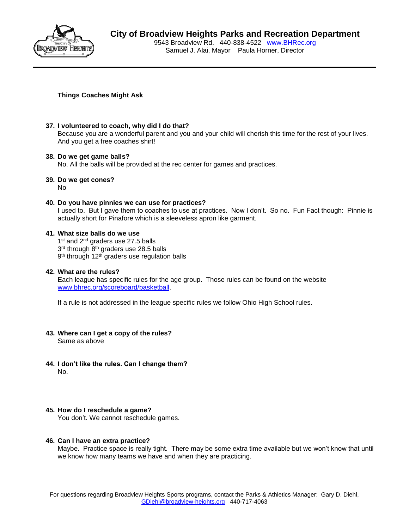

# **City of Broadview Heights Parks and Recreation Department**

9543 Broadview Rd. 440-838-4522 [www.BHRec.org](http://www.bhrec.org/) Samuel J. Alai, Mayor Paula Horner, Director

**Things Coaches Might Ask**

# **37. I volunteered to coach, why did I do that?**

Because you are a wonderful parent and you and your child will cherish this time for the rest of your lives. And you get a free coaches shirt!

# **38. Do we get game balls?**

No. All the balls will be provided at the rec center for games and practices.

**39. Do we get cones?**

No

# **40. Do you have pinnies we can use for practices?**

I used to. But I gave them to coaches to use at practices. Now I don't. So no. Fun Fact though: Pinnie is actually short for Pinafore which is a sleeveless apron like garment.

# **41. What size balls do we use**

1<sup>st</sup> and 2<sup>nd</sup> graders use 27.5 balls 3<sup>rd</sup> through 8<sup>th</sup> graders use 28.5 balls 9<sup>th</sup> through 12<sup>th</sup> graders use regulation balls

# **42. What are the rules?**

Each league has specific rules for the age group. Those rules can be found on the website [www.bhrec.org/scoreboard/basketball.](http://www.bhrec.org/scoreboard/basketball)

If a rule is not addressed in the league specific rules we follow Ohio High School rules.

- **43. Where can I get a copy of the rules?** Same as above
- **44. I don't like the rules. Can I change them?** No.

# **45. How do I reschedule a game?**

You don't. We cannot reschedule games.

# **46. Can I have an extra practice?**

Maybe. Practice space is really tight. There may be some extra time available but we won't know that until we know how many teams we have and when they are practicing.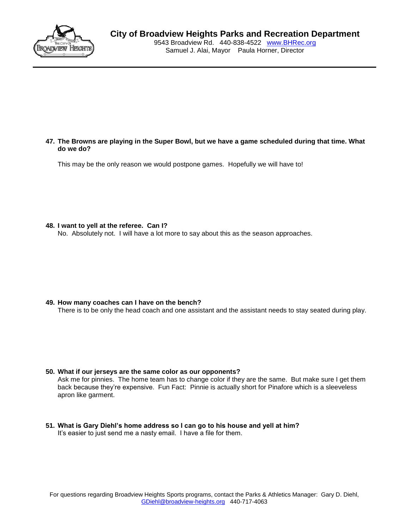

# **City of Broadview Heights Parks and Recreation Department**

9543 Broadview Rd. 440-838-4522 [www.BHRec.org](http://www.bhrec.org/) Samuel J. Alai, Mayor Paula Horner, Director

### **47. The Browns are playing in the Super Bowl, but we have a game scheduled during that time. What do we do?**

This may be the only reason we would postpone games. Hopefully we will have to!

### **48. I want to yell at the referee. Can I?**

No. Absolutely not. I will have a lot more to say about this as the season approaches.

### **49. How many coaches can I have on the bench?**

There is to be only the head coach and one assistant and the assistant needs to stay seated during play.

# **50. What if our jerseys are the same color as our opponents?** Ask me for pinnies. The home team has to change color if they are the same. But make sure I get them back because they're expensive. Fun Fact: Pinnie is actually short for Pinafore which is a sleeveless apron like garment.

**51. What is Gary Diehl's home address so I can go to his house and yell at him?** It's easier to just send me a nasty email. I have a file for them.